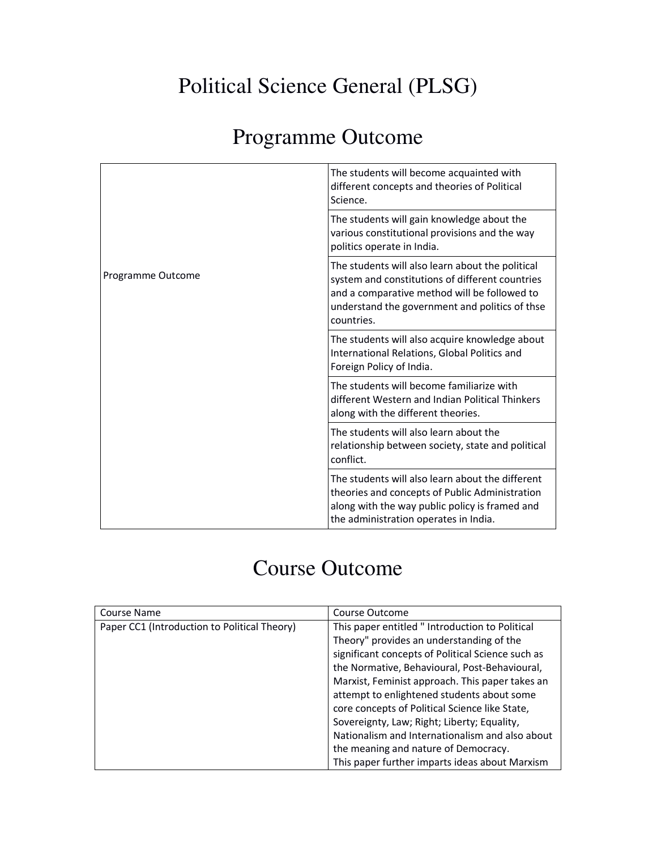## Political Science General (PLSG)

## Programme Outcome

| Programme Outcome | The students will become acquainted with<br>different concepts and theories of Political<br>Science.                                                                                                                |
|-------------------|---------------------------------------------------------------------------------------------------------------------------------------------------------------------------------------------------------------------|
|                   | The students will gain knowledge about the<br>various constitutional provisions and the way<br>politics operate in India.                                                                                           |
|                   | The students will also learn about the political<br>system and constitutions of different countries<br>and a comparative method will be followed to<br>understand the government and politics of thse<br>countries. |
|                   | The students will also acquire knowledge about<br>International Relations, Global Politics and<br>Foreign Policy of India.                                                                                          |
|                   | The students will become familiarize with<br>different Western and Indian Political Thinkers<br>along with the different theories.                                                                                  |
|                   | The students will also learn about the<br>relationship between society, state and political<br>conflict.                                                                                                            |
|                   | The students will also learn about the different<br>theories and concepts of Public Administration<br>along with the way public policy is framed and<br>the administration operates in India.                       |

## Course Outcome

| Course Name                                  | Course Outcome                                    |
|----------------------------------------------|---------------------------------------------------|
| Paper CC1 (Introduction to Political Theory) | This paper entitled " Introduction to Political   |
|                                              | Theory" provides an understanding of the          |
|                                              | significant concepts of Political Science such as |
|                                              | the Normative, Behavioural, Post-Behavioural,     |
|                                              | Marxist, Feminist approach. This paper takes an   |
|                                              | attempt to enlightened students about some        |
|                                              | core concepts of Political Science like State,    |
|                                              | Sovereignty, Law; Right; Liberty; Equality,       |
|                                              | Nationalism and Internationalism and also about   |
|                                              | the meaning and nature of Democracy.              |
|                                              | This paper further imparts ideas about Marxism    |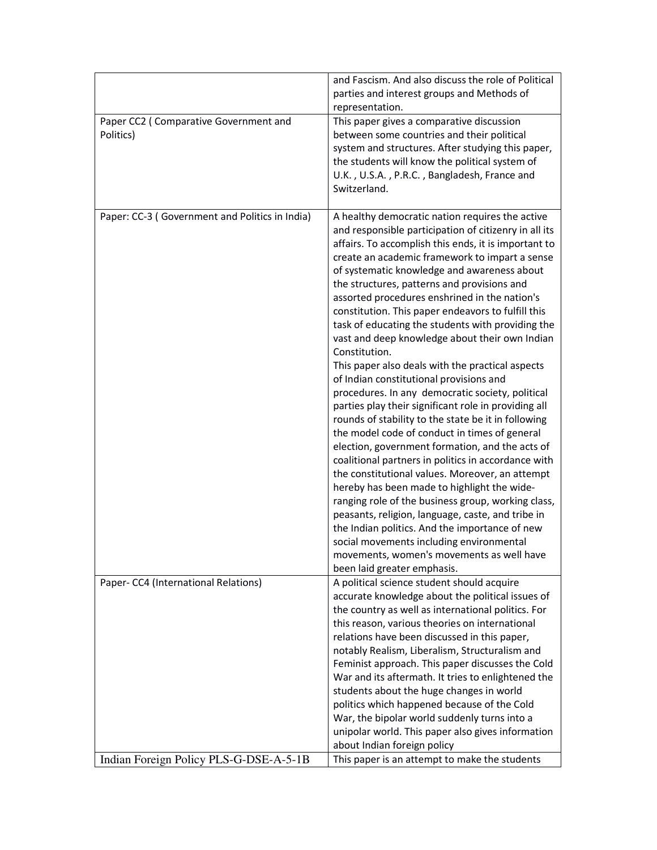|                                                    | and Fascism. And also discuss the role of Political<br>parties and interest groups and Methods of<br>representation.                                                                                                                                                                                                                                                                                                                                                                                                                                                                                                                                                                                                                                                                                                                                                                                                                                                                                                                                                                                                                                                                                                                                                                                                                                                |
|----------------------------------------------------|---------------------------------------------------------------------------------------------------------------------------------------------------------------------------------------------------------------------------------------------------------------------------------------------------------------------------------------------------------------------------------------------------------------------------------------------------------------------------------------------------------------------------------------------------------------------------------------------------------------------------------------------------------------------------------------------------------------------------------------------------------------------------------------------------------------------------------------------------------------------------------------------------------------------------------------------------------------------------------------------------------------------------------------------------------------------------------------------------------------------------------------------------------------------------------------------------------------------------------------------------------------------------------------------------------------------------------------------------------------------|
| Paper CC2 (Comparative Government and<br>Politics) | This paper gives a comparative discussion<br>between some countries and their political<br>system and structures. After studying this paper,<br>the students will know the political system of<br>U.K., U.S.A., P.R.C., Bangladesh, France and<br>Switzerland.                                                                                                                                                                                                                                                                                                                                                                                                                                                                                                                                                                                                                                                                                                                                                                                                                                                                                                                                                                                                                                                                                                      |
| Paper: CC-3 (Government and Politics in India)     | A healthy democratic nation requires the active<br>and responsible participation of citizenry in all its<br>affairs. To accomplish this ends, it is important to<br>create an academic framework to impart a sense<br>of systematic knowledge and awareness about<br>the structures, patterns and provisions and<br>assorted procedures enshrined in the nation's<br>constitution. This paper endeavors to fulfill this<br>task of educating the students with providing the<br>vast and deep knowledge about their own Indian<br>Constitution.<br>This paper also deals with the practical aspects<br>of Indian constitutional provisions and<br>procedures. In any democratic society, political<br>parties play their significant role in providing all<br>rounds of stability to the state be it in following<br>the model code of conduct in times of general<br>election, government formation, and the acts of<br>coalitional partners in politics in accordance with<br>the constitutional values. Moreover, an attempt<br>hereby has been made to highlight the wide-<br>ranging role of the business group, working class,<br>peasants, religion, language, caste, and tribe in<br>the Indian politics. And the importance of new<br>social movements including environmental<br>movements, women's movements as well have<br>been laid greater emphasis. |
| Paper- CC4 (International Relations)               | A political science student should acquire<br>accurate knowledge about the political issues of<br>the country as well as international politics. For<br>this reason, various theories on international<br>relations have been discussed in this paper,<br>notably Realism, Liberalism, Structuralism and<br>Feminist approach. This paper discusses the Cold<br>War and its aftermath. It tries to enlightened the<br>students about the huge changes in world<br>politics which happened because of the Cold<br>War, the bipolar world suddenly turns into a                                                                                                                                                                                                                                                                                                                                                                                                                                                                                                                                                                                                                                                                                                                                                                                                       |
| Indian Foreign Policy PLS-G-DSE-A-5-1B             | unipolar world. This paper also gives information<br>about Indian foreign policy<br>This paper is an attempt to make the students                                                                                                                                                                                                                                                                                                                                                                                                                                                                                                                                                                                                                                                                                                                                                                                                                                                                                                                                                                                                                                                                                                                                                                                                                                   |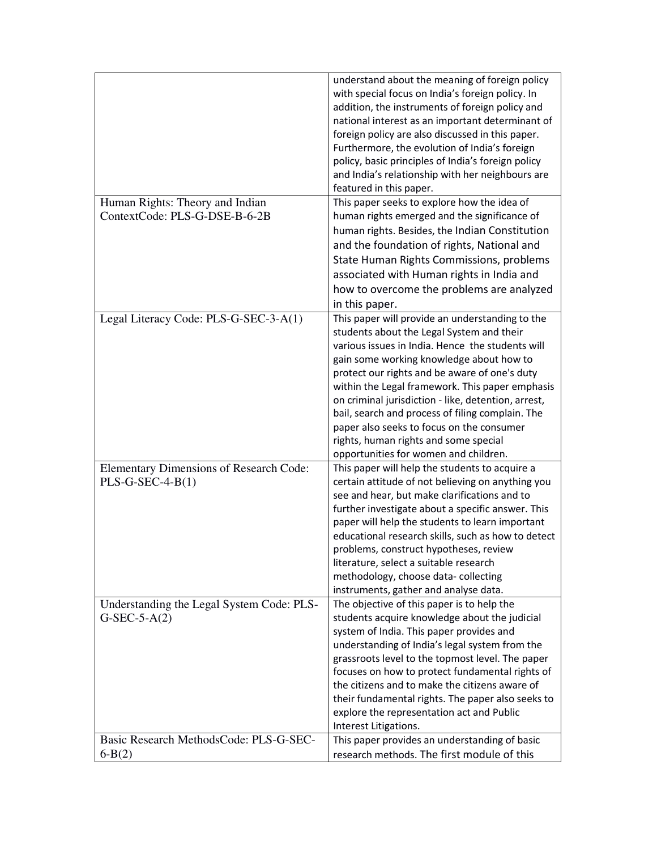|                                           | understand about the meaning of foreign policy<br>with special focus on India's foreign policy. In<br>addition, the instruments of foreign policy and<br>national interest as an important determinant of<br>foreign policy are also discussed in this paper.<br>Furthermore, the evolution of India's foreign<br>policy, basic principles of India's foreign policy<br>and India's relationship with her neighbours are<br>featured in this paper. |
|-------------------------------------------|-----------------------------------------------------------------------------------------------------------------------------------------------------------------------------------------------------------------------------------------------------------------------------------------------------------------------------------------------------------------------------------------------------------------------------------------------------|
| Human Rights: Theory and Indian           | This paper seeks to explore how the idea of                                                                                                                                                                                                                                                                                                                                                                                                         |
| ContextCode: PLS-G-DSE-B-6-2B             | human rights emerged and the significance of                                                                                                                                                                                                                                                                                                                                                                                                        |
|                                           | human rights. Besides, the Indian Constitution                                                                                                                                                                                                                                                                                                                                                                                                      |
|                                           | and the foundation of rights, National and                                                                                                                                                                                                                                                                                                                                                                                                          |
|                                           | State Human Rights Commissions, problems                                                                                                                                                                                                                                                                                                                                                                                                            |
|                                           | associated with Human rights in India and                                                                                                                                                                                                                                                                                                                                                                                                           |
|                                           | how to overcome the problems are analyzed                                                                                                                                                                                                                                                                                                                                                                                                           |
|                                           | in this paper.                                                                                                                                                                                                                                                                                                                                                                                                                                      |
| Legal Literacy Code: PLS-G-SEC-3-A(1)     | This paper will provide an understanding to the                                                                                                                                                                                                                                                                                                                                                                                                     |
|                                           | students about the Legal System and their                                                                                                                                                                                                                                                                                                                                                                                                           |
|                                           | various issues in India. Hence the students will                                                                                                                                                                                                                                                                                                                                                                                                    |
|                                           | gain some working knowledge about how to                                                                                                                                                                                                                                                                                                                                                                                                            |
|                                           | protect our rights and be aware of one's duty                                                                                                                                                                                                                                                                                                                                                                                                       |
|                                           | within the Legal framework. This paper emphasis                                                                                                                                                                                                                                                                                                                                                                                                     |
|                                           | on criminal jurisdiction - like, detention, arrest,                                                                                                                                                                                                                                                                                                                                                                                                 |
|                                           | bail, search and process of filing complain. The<br>paper also seeks to focus on the consumer                                                                                                                                                                                                                                                                                                                                                       |
|                                           | rights, human rights and some special                                                                                                                                                                                                                                                                                                                                                                                                               |
|                                           | opportunities for women and children.                                                                                                                                                                                                                                                                                                                                                                                                               |
| Elementary Dimensions of Research Code:   | This paper will help the students to acquire a                                                                                                                                                                                                                                                                                                                                                                                                      |
| $PLS-G-SEC-4-B(1)$                        | certain attitude of not believing on anything you                                                                                                                                                                                                                                                                                                                                                                                                   |
|                                           | see and hear, but make clarifications and to                                                                                                                                                                                                                                                                                                                                                                                                        |
|                                           | further investigate about a specific answer. This                                                                                                                                                                                                                                                                                                                                                                                                   |
|                                           | paper will help the students to learn important                                                                                                                                                                                                                                                                                                                                                                                                     |
|                                           | educational research skills, such as how to detect                                                                                                                                                                                                                                                                                                                                                                                                  |
|                                           | problems, construct hypotheses, review                                                                                                                                                                                                                                                                                                                                                                                                              |
|                                           | literature, select a suitable research                                                                                                                                                                                                                                                                                                                                                                                                              |
|                                           | methodology, choose data-collecting                                                                                                                                                                                                                                                                                                                                                                                                                 |
| Understanding the Legal System Code: PLS- | instruments, gather and analyse data.<br>The objective of this paper is to help the                                                                                                                                                                                                                                                                                                                                                                 |
| $G-SEC-5-A(2)$                            | students acquire knowledge about the judicial                                                                                                                                                                                                                                                                                                                                                                                                       |
|                                           | system of India. This paper provides and                                                                                                                                                                                                                                                                                                                                                                                                            |
|                                           | understanding of India's legal system from the                                                                                                                                                                                                                                                                                                                                                                                                      |
|                                           | grassroots level to the topmost level. The paper                                                                                                                                                                                                                                                                                                                                                                                                    |
|                                           | focuses on how to protect fundamental rights of                                                                                                                                                                                                                                                                                                                                                                                                     |
|                                           | the citizens and to make the citizens aware of                                                                                                                                                                                                                                                                                                                                                                                                      |
|                                           | their fundamental rights. The paper also seeks to                                                                                                                                                                                                                                                                                                                                                                                                   |
|                                           | explore the representation act and Public                                                                                                                                                                                                                                                                                                                                                                                                           |
|                                           | Interest Litigations.                                                                                                                                                                                                                                                                                                                                                                                                                               |
| Basic Research MethodsCode: PLS-G-SEC-    | This paper provides an understanding of basic                                                                                                                                                                                                                                                                                                                                                                                                       |
| $6 - B(2)$                                | research methods. The first module of this                                                                                                                                                                                                                                                                                                                                                                                                          |